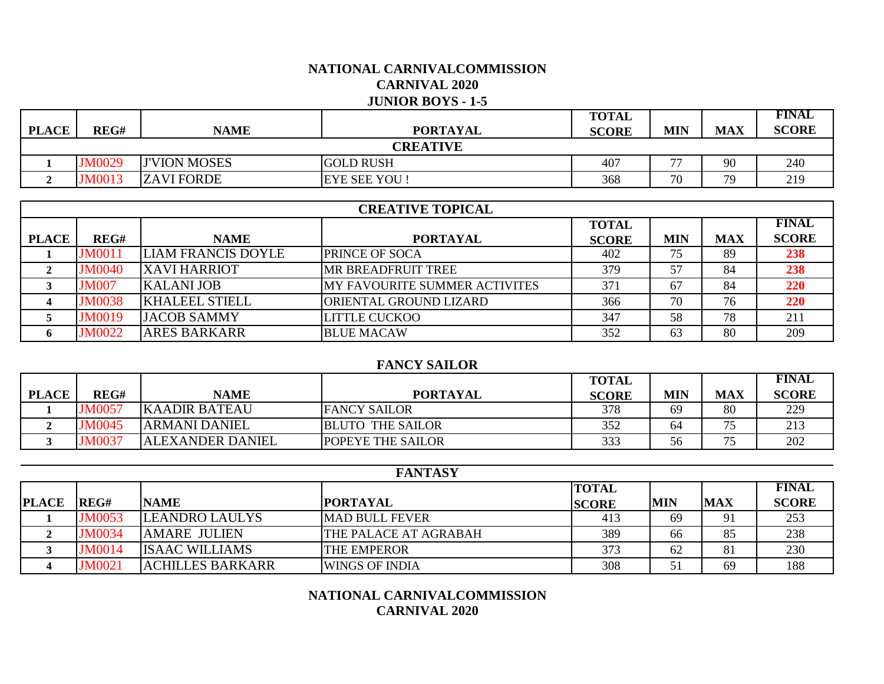## **NATIONAL CARNIVALCOMMISSION CARNIVAL 2020 JUNIOR BOYS - 1-5**

|                 |               |                     |                     | <b>TOTAL</b> |                          |            | <b>FINAL</b> |  |
|-----------------|---------------|---------------------|---------------------|--------------|--------------------------|------------|--------------|--|
| <b>PLACE</b>    | REG#          | <b>NAME</b>         | <b>PORTAYAL</b>     | <b>SCORE</b> | MIN                      | <b>MAX</b> | <b>SCORE</b> |  |
| <b>CREATIVE</b> |               |                     |                     |              |                          |            |              |  |
|                 | <b>JM0029</b> | <b>J'VION MOSES</b> | <b>GOLD RUSH</b>    | 407          | $\overline{\phantom{a}}$ | 90         | 240          |  |
|                 | <b>M0013</b>  | <b>ZAVI FORDE</b>   | <b>EYE SEE YOU!</b> | 368          | 70                       | 79         | 219          |  |

|              | <b>CREATIVE TOPICAL</b> |                           |                                      |              |            |            |              |  |  |  |
|--------------|-------------------------|---------------------------|--------------------------------------|--------------|------------|------------|--------------|--|--|--|
|              |                         |                           |                                      | <b>TOTAL</b> |            |            | <b>FINAL</b> |  |  |  |
| <b>PLACE</b> | REG#                    | <b>NAME</b>               | <b>PORTAYAL</b>                      | <b>SCORE</b> | <b>MIN</b> | <b>MAX</b> | <b>SCORE</b> |  |  |  |
|              | <b>JM0011</b>           | <b>LIAM FRANCIS DOYLE</b> | <b>PRINCE OF SOCA</b>                | 402          | 75         | 89         | 238          |  |  |  |
|              | <b>JM0040</b>           | <b>XAVI HARRIOT</b>       | <b>MR BREADFRUIT TREE</b>            | 379          | 57         | 84         | 238          |  |  |  |
|              | <b>JM007</b>            | <b>KALANI JOB</b>         | <b>MY FAVOURITE SUMMER ACTIVITES</b> | 371          | 67         | 84         | 220          |  |  |  |
|              | <b>JM0038</b>           | <b>KHALEEL STIELL</b>     | ORIENTAL GROUND LIZARD               | 366          | 70         | 76         | 220          |  |  |  |
|              | <b>JM0019</b>           | <b>JACOB SAMMY</b>        | <b>LITTLE CUCKOO</b>                 | 347          | 58         | 78         | 211          |  |  |  |
| $\mathbf{p}$ | <b>JM0022</b>           | <b>ARES BARKARR</b>       | <b>BLUE MACAW</b>                    | 352          | 63         | 80         | 209          |  |  |  |

#### **FANCY SAILOR**

|              |               |                         |                          | <b>TOTAL</b> |            |            | <b>FINAL</b> |
|--------------|---------------|-------------------------|--------------------------|--------------|------------|------------|--------------|
| <b>PLACE</b> | REG#          | <b>NAME</b>             | <b>PORTAYAL</b>          | <b>SCORE</b> | <b>MIN</b> | <b>MAX</b> | <b>SCORE</b> |
|              | <b>JM0057</b> | <b>KAADIR BATEAU</b>    | <b>FANCY SAILOR</b>      | 378          | 69         | 80         | 229          |
|              | <b>JM0045</b> | <b>ARMANI DANIEL</b>    | <b>BLUTO THE SAILOR</b>  | 352          | 64         |            | 213          |
|              | JM0037        | <b>ALEXANDER DANIEL</b> | <b>POPEYE THE SAILOR</b> | 333          | 56         |            | 202          |

|              | <b>FANTASY</b> |                         |                       |              |            |            |              |  |  |
|--------------|----------------|-------------------------|-----------------------|--------------|------------|------------|--------------|--|--|
|              |                |                         |                       | <b>TOTAL</b> |            |            | <b>FINAL</b> |  |  |
| <b>PLACE</b> | lREG#          | <b>NAME</b>             | <b>PORTAYAL</b>       | <b>SCORE</b> | <b>MIN</b> | <b>MAX</b> | <b>SCORE</b> |  |  |
|              | <b>JM0053</b>  | <b>LEANDRO LAULYS</b>   | <b>MAD BULL FEVER</b> | 413          | 69         |            | 253          |  |  |
|              | <b>JM0034</b>  | <b>AMARE JULIEN</b>     | THE PALACE AT AGRABAH | 389          | 66         | 85         | 238          |  |  |
|              | <b>JM0014</b>  | <b>ISAAC WILLIAMS</b>   | <b>THE EMPEROR</b>    | 373          | 62         | 81         | 230          |  |  |
|              | <b>JM0021</b>  | <b>ACHILLES BARKARR</b> | <b>WINGS OF INDIA</b> | 308          | 51         | 69         | 188          |  |  |

# **NATIONAL CARNIVALCOMMISSION CARNIVAL 2020**